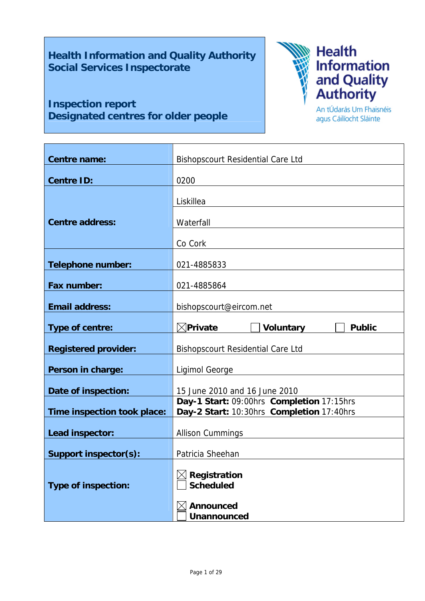# **Health Information and Quality Authority Social Services Inspectorate**

# **Inspection report Designated centres for older people**



An tÚdarás Um Fhaisnéis agus Cáilíocht Sláinte

| <b>Centre name:</b>         | <b>Bishopscourt Residential Care Ltd</b>                                               |  |  |
|-----------------------------|----------------------------------------------------------------------------------------|--|--|
| <b>Centre ID:</b>           | 0200                                                                                   |  |  |
|                             | Liskillea                                                                              |  |  |
|                             |                                                                                        |  |  |
| <b>Centre address:</b>      | Waterfall                                                                              |  |  |
|                             | Co Cork                                                                                |  |  |
| <b>Telephone number:</b>    | 021-4885833                                                                            |  |  |
| Fax number:                 | 021-4885864                                                                            |  |  |
| <b>Email address:</b>       | bishopscourt@eircom.net                                                                |  |  |
| Type of centre:             | $\boxtimes$ Private<br><b>Voluntary</b><br><b>Public</b>                               |  |  |
| <b>Registered provider:</b> | <b>Bishopscourt Residential Care Ltd</b>                                               |  |  |
| Person in charge:           | Ligimol George                                                                         |  |  |
| Date of inspection:         | 15 June 2010 and 16 June 2010                                                          |  |  |
| Time inspection took place: | Day-1 Start: 09:00hrs Completion 17:15hrs<br>Day-2 Start: 10:30hrs Completion 17:40hrs |  |  |
| Lead inspector:             | <b>Allison Cummings</b>                                                                |  |  |
| Support inspector(s):       | Patricia Sheehan                                                                       |  |  |
|                             | Registration                                                                           |  |  |
| <b>Type of inspection:</b>  | <b>Scheduled</b>                                                                       |  |  |
|                             | <b>Announced</b><br><b>Unannounced</b>                                                 |  |  |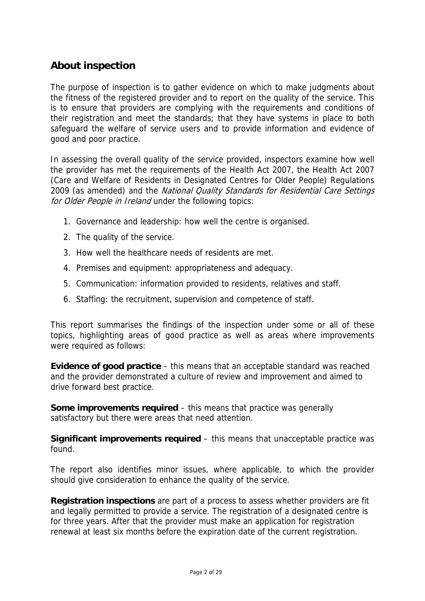# **About inspection**

The purpose of inspection is to gather evidence on which to make judgments about the fitness of the registered provider and to report on the quality of the service. This is to ensure that providers are complying with the requirements and conditions of their registration and meet the standards; that they have systems in place to both safeguard the welfare of service users and to provide information and evidence of good and poor practice.

In assessing the overall quality of the service provided, inspectors examine how well the provider has met the requirements of the Health Act 2007, the Health Act 2007 (Care and Welfare of Residents in Designated Centres for Older People) Regulations 2009 (as amended) and the National Quality Standards for Residential Care Settings for Older People in Ireland under the following topics:

- 1. Governance and leadership: how well the centre is organised.
- 2. The quality of the service.
- 3. How well the healthcare needs of residents are met.
- 4. Premises and equipment: appropriateness and adequacy.
- 5. Communication: information provided to residents, relatives and staff.
- 6. Staffing: the recruitment, supervision and competence of staff.

This report summarises the findings of the inspection under some or all of these topics, highlighting areas of good practice as well as areas where improvements were required as follows:

**Evidence of good practice** – this means that an acceptable standard was reached and the provider demonstrated a culture of review and improvement and aimed to drive forward best practice.

**Some improvements required** – this means that practice was generally satisfactory but there were areas that need attention.

**Significant improvements required** – this means that unacceptable practice was found.

The report also identifies minor issues, where applicable, to which the provider should give consideration to enhance the quality of the service.

**Registration inspections** are part of a process to assess whether providers are fit and legally permitted to provide a service. The registration of a designated centre is for three years. After that the provider must make an application for registration renewal at least six months before the expiration date of the current registration.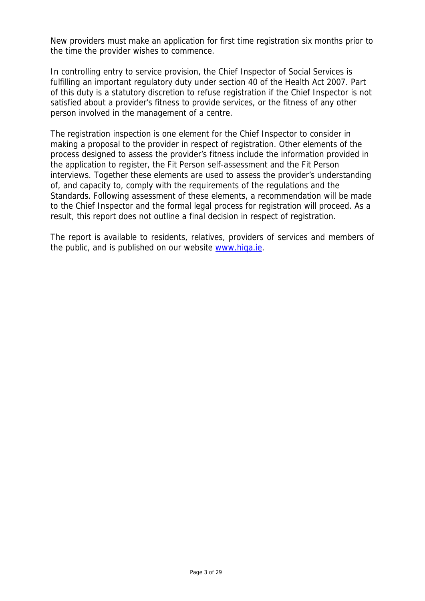New providers must make an application for first time registration six months prior to the time the provider wishes to commence.

In controlling entry to service provision, the Chief Inspector of Social Services is fulfilling an important regulatory duty under section 40 of the Health Act 2007. Part of this duty is a statutory discretion to refuse registration if the Chief Inspector is not satisfied about a provider's fitness to provide services, or the fitness of any other person involved in the management of a centre.

The registration inspection is one element for the Chief Inspector to consider in making a proposal to the provider in respect of registration. Other elements of the process designed to assess the provider's fitness include the information provided in the application to register, the Fit Person self-assessment and the Fit Person interviews. Together these elements are used to assess the provider's understanding of, and capacity to, comply with the requirements of the regulations and the Standards. Following assessment of these elements, a recommendation will be made to the Chief Inspector and the formal legal process for registration will proceed. As a result, this report does not outline a final decision in respect of registration.

The report is available to residents, relatives, providers of services and members of the public, and is published on our website www.hiqa.ie.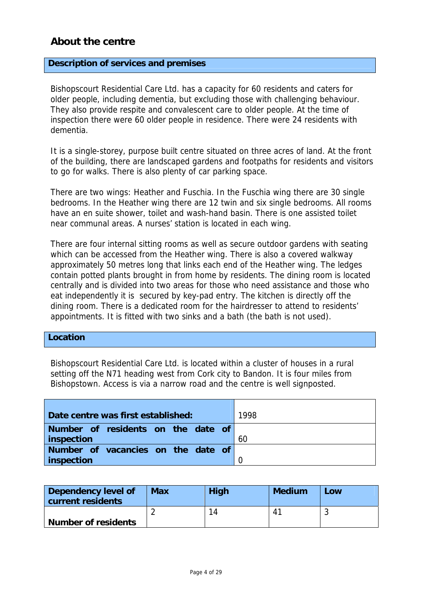# **About the centre**

#### **Description of services and premises**

Bishopscourt Residential Care Ltd. has a capacity for 60 residents and caters for older people, including dementia, but excluding those with challenging behaviour. They also provide respite and convalescent care to older people. At the time of inspection there were 60 older people in residence. There were 24 residents with dementia.

It is a single-storey, purpose built centre situated on three acres of land. At the front of the building, there are landscaped gardens and footpaths for residents and visitors to go for walks. There is also plenty of car parking space.

There are two wings: Heather and Fuschia. In the Fuschia wing there are 30 single bedrooms. In the Heather wing there are 12 twin and six single bedrooms. All rooms have an en suite shower, toilet and wash-hand basin. There is one assisted toilet near communal areas. A nurses' station is located in each wing.

There are four internal sitting rooms as well as secure outdoor gardens with seating which can be accessed from the Heather wing. There is also a covered walkway approximately 50 metres long that links each end of the Heather wing. The ledges contain potted plants brought in from home by residents. The dining room is located centrally and is divided into two areas for those who need assistance and those who eat independently it is secured by key-pad entry. The kitchen is directly off the dining room. There is a dedicated room for the hairdresser to attend to residents' appointments. It is fitted with two sinks and a bath (the bath is not used).

### **Location**

Bishopscourt Residential Care Ltd. is located within a cluster of houses in a rural setting off the N71 heading west from Cork city to Bandon. It is four miles from Bishopstown. Access is via a narrow road and the centre is well signposted.

| Date centre was first established: | 1998 |
|------------------------------------|------|
| Number of residents on the date of |      |
| inspection                         | 60   |
| Number of vacancies on the date of |      |
| inspection                         |      |

| Dependency level of<br>current residents | <b>Max</b> | <b>High</b> | <b>Medium</b> | Low |
|------------------------------------------|------------|-------------|---------------|-----|
|                                          |            | 14          | 41            |     |
| <b>Number of residents</b>               |            |             |               |     |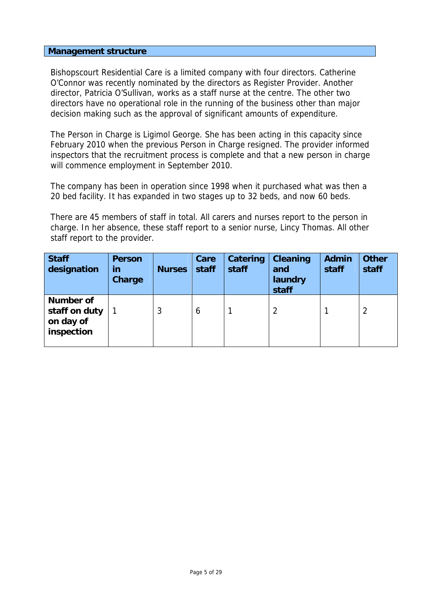### **Management structure**

Bishopscourt Residential Care is a limited company with four directors. Catherine O'Connor was recently nominated by the directors as Register Provider. Another director, Patricia O'Sullivan, works as a staff nurse at the centre. The other two directors have no operational role in the running of the business other than major decision making such as the approval of significant amounts of expenditure.

The Person in Charge is Ligimol George. She has been acting in this capacity since February 2010 when the previous Person in Charge resigned. The provider informed inspectors that the recruitment process is complete and that a new person in charge will commence employment in September 2010.

The company has been in operation since 1998 when it purchased what was then a 20 bed facility. It has expanded in two stages up to 32 beds, and now 60 beds.

There are 45 members of staff in total. All carers and nurses report to the person in charge. In her absence, these staff report to a senior nurse, Lincy Thomas. All other staff report to the provider.

| <b>Staff</b><br>designation                                  | <b>Person</b><br>in<br>Charge | <b>Nurses</b> | Care<br>staff | Catering<br>staff | <b>Cleaning</b><br>and<br>laundry<br>staff | <b>Admin</b><br>staff | <b>Other</b><br>staff |
|--------------------------------------------------------------|-------------------------------|---------------|---------------|-------------------|--------------------------------------------|-----------------------|-----------------------|
| <b>Number of</b><br>staff on duty<br>on day of<br>inspection |                               | 3             | 6             |                   |                                            |                       | 2                     |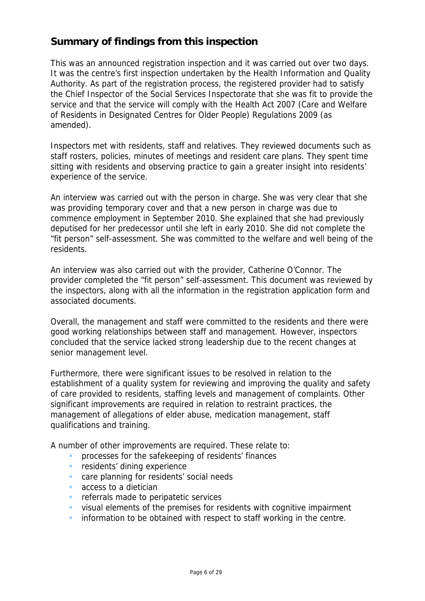# **Summary of findings from this inspection**

This was an announced registration inspection and it was carried out over two days. It was the centre's first inspection undertaken by the Health Information and Quality Authority. As part of the registration process, the registered provider had to satisfy the Chief Inspector of the Social Services Inspectorate that she was fit to provide the service and that the service will comply with the Health Act 2007 (Care and Welfare of Residents in Designated Centres for Older People) Regulations 2009 (as amended).

Inspectors met with residents, staff and relatives. They reviewed documents such as staff rosters, policies, minutes of meetings and resident care plans. They spent time sitting with residents and observing practice to gain a greater insight into residents' experience of the service.

An interview was carried out with the person in charge. She was very clear that she was providing temporary cover and that a new person in charge was due to commence employment in September 2010. She explained that she had previously deputised for her predecessor until she left in early 2010. She did not complete the "fit person" self-assessment. She was committed to the welfare and well being of the residents.

An interview was also carried out with the provider, Catherine O'Connor. The provider completed the "fit person" self-assessment. This document was reviewed by the inspectors, along with all the information in the registration application form and associated documents.

Overall, the management and staff were committed to the residents and there were good working relationships between staff and management. However, inspectors concluded that the service lacked strong leadership due to the recent changes at senior management level.

Furthermore, there were significant issues to be resolved in relation to the establishment of a quality system for reviewing and improving the quality and safety of care provided to residents, staffing levels and management of complaints. Other significant improvements are required in relation to restraint practices, the management of allegations of elder abuse, medication management, staff qualifications and training.

A number of other improvements are required. These relate to:

- processes for the safekeeping of residents' finances
- **F** residents' dining experience
- **Care planning for residents' social needs**
- **access to a dietician**
- **F** referrals made to peripatetic services
- visual elements of the premises for residents with cognitive impairment
- **information to be obtained with respect to staff working in the centre.**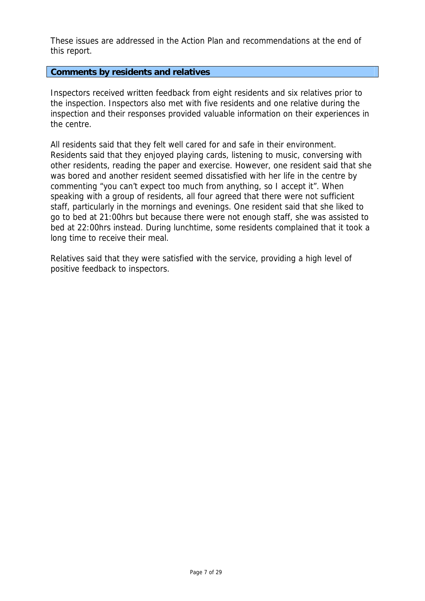These issues are addressed in the Action Plan and recommendations at the end of this report.

**Comments by residents and relatives** 

Inspectors received written feedback from eight residents and six relatives prior to the inspection. Inspectors also met with five residents and one relative during the inspection and their responses provided valuable information on their experiences in the centre.

All residents said that they felt well cared for and safe in their environment. Residents said that they enjoyed playing cards, listening to music, conversing with other residents, reading the paper and exercise. However, one resident said that she was bored and another resident seemed dissatisfied with her life in the centre by commenting "you can't expect too much from anything, so I accept it". When speaking with a group of residents, all four agreed that there were not sufficient staff, particularly in the mornings and evenings. One resident said that she liked to go to bed at 21:00hrs but because there were not enough staff, she was assisted to bed at 22:00hrs instead. During lunchtime, some residents complained that it took a long time to receive their meal.

Relatives said that they were satisfied with the service, providing a high level of positive feedback to inspectors.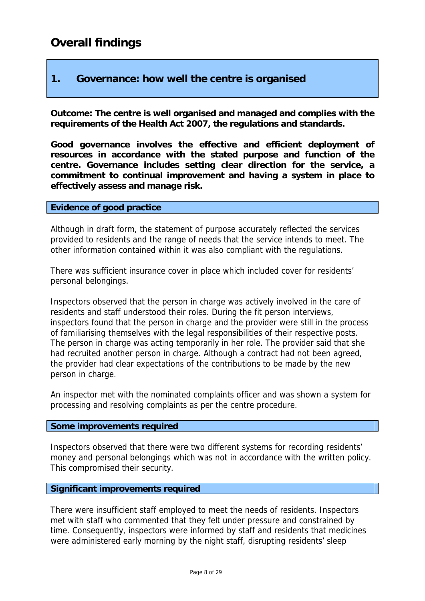# **1. Governance: how well the centre is organised**

**Outcome: The centre is well organised and managed and complies with the requirements of the Health Act 2007, the regulations and standards.** 

**Good governance involves the effective and efficient deployment of resources in accordance with the stated purpose and function of the centre. Governance includes setting clear direction for the service, a commitment to continual improvement and having a system in place to effectively assess and manage risk.** 

# **Evidence of good practice**

Although in draft form, the statement of purpose accurately reflected the services provided to residents and the range of needs that the service intends to meet. The other information contained within it was also compliant with the regulations.

There was sufficient insurance cover in place which included cover for residents' personal belongings.

Inspectors observed that the person in charge was actively involved in the care of residents and staff understood their roles. During the fit person interviews, inspectors found that the person in charge and the provider were still in the process of familiarising themselves with the legal responsibilities of their respective posts. The person in charge was acting temporarily in her role. The provider said that she had recruited another person in charge. Although a contract had not been agreed, the provider had clear expectations of the contributions to be made by the new person in charge.

An inspector met with the nominated complaints officer and was shown a system for processing and resolving complaints as per the centre procedure.

#### **Some improvements required**

Inspectors observed that there were two different systems for recording residents' money and personal belongings which was not in accordance with the written policy. This compromised their security.

# **Significant improvements required**

There were insufficient staff employed to meet the needs of residents. Inspectors met with staff who commented that they felt under pressure and constrained by time. Consequently, inspectors were informed by staff and residents that medicines were administered early morning by the night staff, disrupting residents' sleep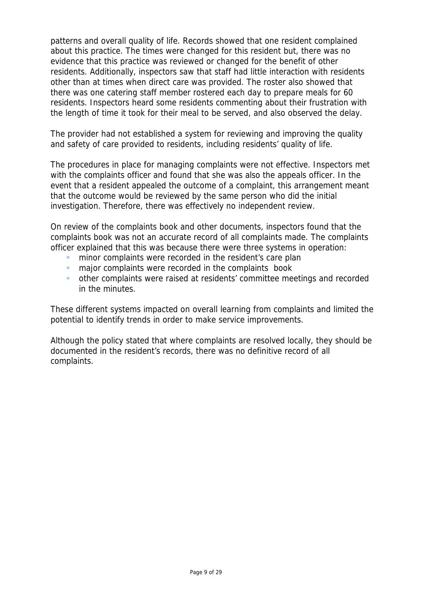patterns and overall quality of life. Records showed that one resident complained about this practice. The times were changed for this resident but, there was no evidence that this practice was reviewed or changed for the benefit of other residents. Additionally, inspectors saw that staff had little interaction with residents other than at times when direct care was provided. The roster also showed that there was one catering staff member rostered each day to prepare meals for 60 residents. Inspectors heard some residents commenting about their frustration with the length of time it took for their meal to be served, and also observed the delay.

The provider had not established a system for reviewing and improving the quality and safety of care provided to residents, including residents' quality of life.

The procedures in place for managing complaints were not effective. Inspectors met with the complaints officer and found that she was also the appeals officer. In the event that a resident appealed the outcome of a complaint, this arrangement meant that the outcome would be reviewed by the same person who did the initial investigation. Therefore, there was effectively no independent review.

On review of the complaints book and other documents, inspectors found that the complaints book was not an accurate record of all complaints made. The complaints officer explained that this was because there were three systems in operation:

- minor complaints were recorded in the resident's care plan
- major complaints were recorded in the complaints book
- other complaints were raised at residents' committee meetings and recorded in the minutes.

These different systems impacted on overall learning from complaints and limited the potential to identify trends in order to make service improvements.

Although the policy stated that where complaints are resolved locally, they should be documented in the resident's records, there was no definitive record of all complaints.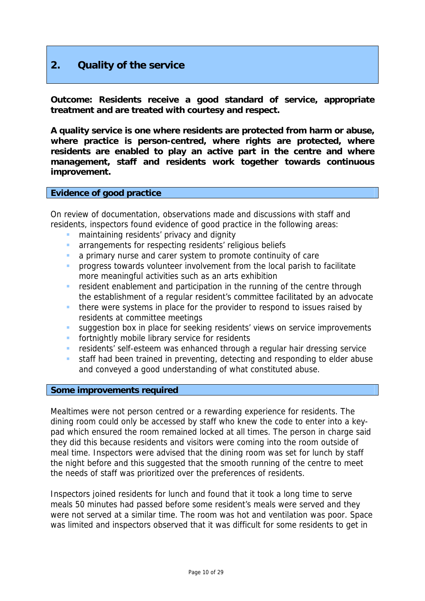# **2. Quality of the service**

**Outcome: Residents receive a good standard of service, appropriate treatment and are treated with courtesy and respect.** 

**A quality service is one where residents are protected from harm or abuse, where practice is person-centred, where rights are protected, where residents are enabled to play an active part in the centre and where management, staff and residents work together towards continuous improvement.** 

#### **Evidence of good practice**

On review of documentation, observations made and discussions with staff and residents, inspectors found evidence of good practice in the following areas:

- maintaining residents' privacy and dignity
- **arrangements for respecting residents' religious beliefs**
- a primary nurse and carer system to promote continuity of care
- progress towards volunteer involvement from the local parish to facilitate more meaningful activities such as an arts exhibition
- **F** resident enablement and participation in the running of the centre through the establishment of a regular resident's committee facilitated by an advocate
- **there were systems in place for the provider to respond to issues raised by** residents at committee meetings
- suggestion box in place for seeking residents' views on service improvements
- fortnightly mobile library service for residents
- residents' self-esteem was enhanced through a regular hair dressing service
- staff had been trained in preventing, detecting and responding to elder abuse and conveyed a good understanding of what constituted abuse.

#### **Some improvements required**

Mealtimes were not person centred or a rewarding experience for residents. The dining room could only be accessed by staff who knew the code to enter into a keypad which ensured the room remained locked at all times. The person in charge said they did this because residents and visitors were coming into the room outside of meal time. Inspectors were advised that the dining room was set for lunch by staff the night before and this suggested that the smooth running of the centre to meet the needs of staff was prioritized over the preferences of residents.

Inspectors joined residents for lunch and found that it took a long time to serve meals 50 minutes had passed before some resident's meals were served and they were not served at a similar time. The room was hot and ventilation was poor. Space was limited and inspectors observed that it was difficult for some residents to get in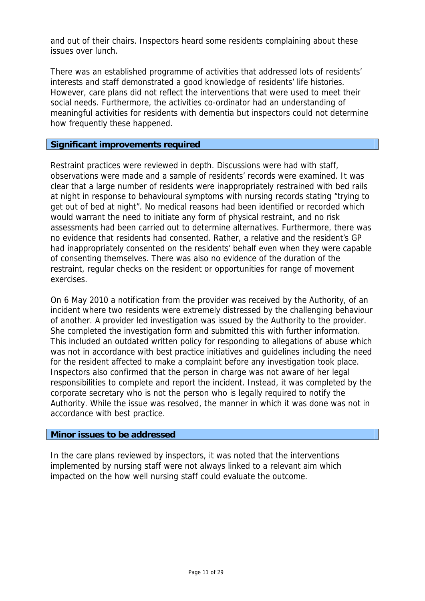and out of their chairs. Inspectors heard some residents complaining about these issues over lunch.

There was an established programme of activities that addressed lots of residents' interests and staff demonstrated a good knowledge of residents' life histories. However, care plans did not reflect the interventions that were used to meet their social needs. Furthermore, the activities co-ordinator had an understanding of meaningful activities for residents with dementia but inspectors could not determine how frequently these happened.

#### **Significant improvements required**

Restraint practices were reviewed in depth. Discussions were had with staff, observations were made and a sample of residents' records were examined. It was clear that a large number of residents were inappropriately restrained with bed rails at night in response to behavioural symptoms with nursing records stating "trying to get out of bed at night". No medical reasons had been identified or recorded which would warrant the need to initiate any form of physical restraint, and no risk assessments had been carried out to determine alternatives. Furthermore, there was no evidence that residents had consented. Rather, a relative and the resident's GP had inappropriately consented on the residents' behalf even when they were capable of consenting themselves. There was also no evidence of the duration of the restraint, regular checks on the resident or opportunities for range of movement exercises.

On 6 May 2010 a notification from the provider was received by the Authority, of an incident where two residents were extremely distressed by the challenging behaviour of another. A provider led investigation was issued by the Authority to the provider. She completed the investigation form and submitted this with further information. This included an outdated written policy for responding to allegations of abuse which was not in accordance with best practice initiatives and guidelines including the need for the resident affected to make a complaint before any investigation took place. Inspectors also confirmed that the person in charge was not aware of her legal responsibilities to complete and report the incident. Instead, it was completed by the corporate secretary who is not the person who is legally required to notify the Authority. While the issue was resolved, the manner in which it was done was not in accordance with best practice.

#### **Minor issues to be addressed**

In the care plans reviewed by inspectors, it was noted that the interventions implemented by nursing staff were not always linked to a relevant aim which impacted on the how well nursing staff could evaluate the outcome.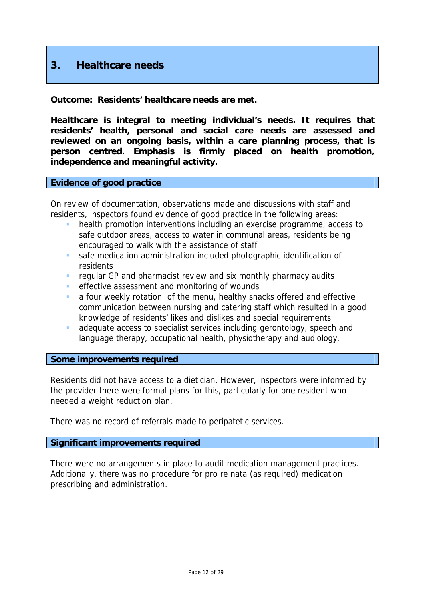# **3. Healthcare needs**

**Outcome: Residents' healthcare needs are met.** 

**Healthcare is integral to meeting individual's needs. It requires that residents' health, personal and social care needs are assessed and reviewed on an ongoing basis, within a care planning process, that is person centred. Emphasis is firmly placed on health promotion, independence and meaningful activity.** 

#### **Evidence of good practice**

On review of documentation, observations made and discussions with staff and residents, inspectors found evidence of good practice in the following areas:

- health promotion interventions including an exercise programme, access to safe outdoor areas, access to water in communal areas, residents being encouraged to walk with the assistance of staff
- safe medication administration included photographic identification of residents
- **F** regular GP and pharmacist review and six monthly pharmacy audits
- **EXECCUTE:** effective assessment and monitoring of wounds
- a four weekly rotation of the menu, healthy snacks offered and effective communication between nursing and catering staff which resulted in a good knowledge of residents' likes and dislikes and special requirements
- adequate access to specialist services including gerontology, speech and language therapy, occupational health, physiotherapy and audiology.

#### **Some improvements required**

Residents did not have access to a dietician. However, inspectors were informed by the provider there were formal plans for this, particularly for one resident who needed a weight reduction plan.

There was no record of referrals made to peripatetic services.

#### **Significant improvements required**

There were no arrangements in place to audit medication management practices. Additionally, there was no procedure for pro re nata (as required) medication prescribing and administration.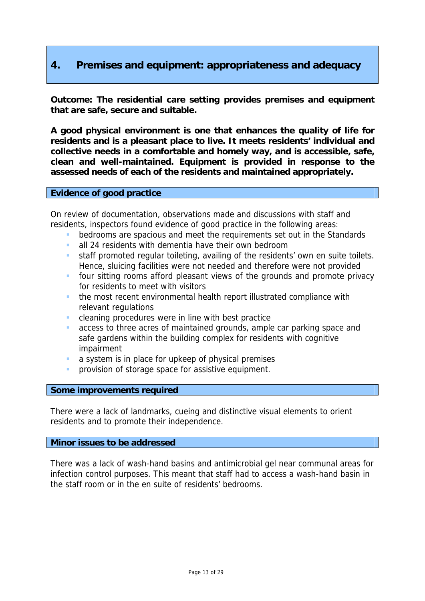# **4. Premises and equipment: appropriateness and adequacy**

**Outcome: The residential care setting provides premises and equipment that are safe, secure and suitable.** 

**A good physical environment is one that enhances the quality of life for residents and is a pleasant place to live. It meets residents' individual and collective needs in a comfortable and homely way, and is accessible, safe, clean and well-maintained. Equipment is provided in response to the assessed needs of each of the residents and maintained appropriately.** 

#### **Evidence of good practice**

On review of documentation, observations made and discussions with staff and residents, inspectors found evidence of good practice in the following areas:

- bedrooms are spacious and meet the requirements set out in the Standards
- all 24 residents with dementia have their own bedroom
- staff promoted regular toileting, availing of the residents' own en suite toilets. Hence, sluicing facilities were not needed and therefore were not provided
- four sitting rooms afford pleasant views of the grounds and promote privacy for residents to meet with visitors
- the most recent environmental health report illustrated compliance with relevant regulations
- cleaning procedures were in line with best practice
- access to three acres of maintained grounds, ample car parking space and safe gardens within the building complex for residents with cognitive impairment
- a system is in place for upkeep of physical premises
- provision of storage space for assistive equipment.

#### **Some improvements required**

There were a lack of landmarks, cueing and distinctive visual elements to orient residents and to promote their independence.

#### **Minor issues to be addressed**

There was a lack of wash-hand basins and antimicrobial gel near communal areas for infection control purposes. This meant that staff had to access a wash-hand basin in the staff room or in the en suite of residents' bedrooms.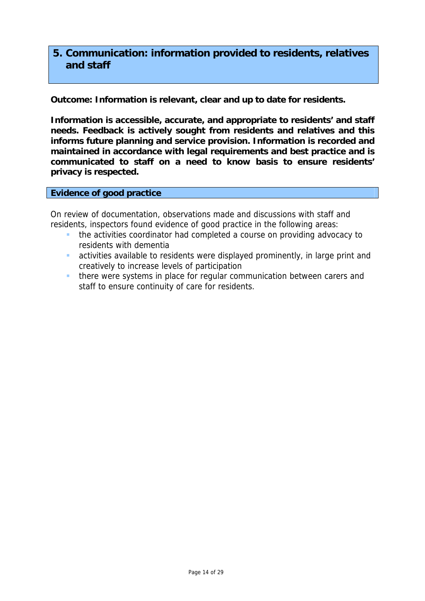# **5. Communication: information provided to residents, relatives and staff**

**Outcome: Information is relevant, clear and up to date for residents.** 

**Information is accessible, accurate, and appropriate to residents' and staff needs. Feedback is actively sought from residents and relatives and this informs future planning and service provision. Information is recorded and maintained in accordance with legal requirements and best practice and is communicated to staff on a need to know basis to ensure residents' privacy is respected.** 

**Evidence of good practice** 

On review of documentation, observations made and discussions with staff and residents, inspectors found evidence of good practice in the following areas:

- **the activities coordinator had completed a course on providing advocacy to** residents with dementia
- activities available to residents were displayed prominently, in large print and creatively to increase levels of participation
- **there were systems in place for regular communication between carers and** staff to ensure continuity of care for residents.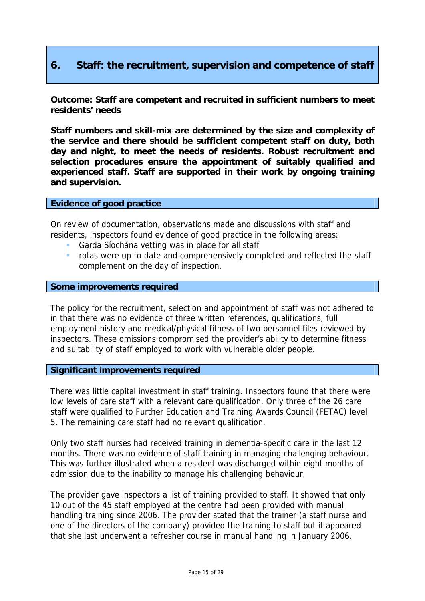# **6. Staff: the recruitment, supervision and competence of staff**

**Outcome: Staff are competent and recruited in sufficient numbers to meet residents' needs** 

**Staff numbers and skill-mix are determined by the size and complexity of the service and there should be sufficient competent staff on duty, both day and night, to meet the needs of residents. Robust recruitment and selection procedures ensure the appointment of suitably qualified and experienced staff. Staff are supported in their work by ongoing training and supervision.** 

#### **Evidence of good practice**

On review of documentation, observations made and discussions with staff and residents, inspectors found evidence of good practice in the following areas:

- **Garda Síochána vetting was in place for all staff**
- rotas were up to date and comprehensively completed and reflected the staff complement on the day of inspection.

### **Some improvements required**

The policy for the recruitment, selection and appointment of staff was not adhered to in that there was no evidence of three written references, qualifications, full employment history and medical/physical fitness of two personnel files reviewed by inspectors. These omissions compromised the provider's ability to determine fitness and suitability of staff employed to work with vulnerable older people.

#### **Significant improvements required**

There was little capital investment in staff training. Inspectors found that there were low levels of care staff with a relevant care qualification. Only three of the 26 care staff were qualified to Further Education and Training Awards Council (FETAC) level 5. The remaining care staff had no relevant qualification.

Only two staff nurses had received training in dementia-specific care in the last 12 months. There was no evidence of staff training in managing challenging behaviour. This was further illustrated when a resident was discharged within eight months of admission due to the inability to manage his challenging behaviour.

The provider gave inspectors a list of training provided to staff. It showed that only 10 out of the 45 staff employed at the centre had been provided with manual handling training since 2006. The provider stated that the trainer (a staff nurse and one of the directors of the company) provided the training to staff but it appeared that she last underwent a refresher course in manual handling in January 2006.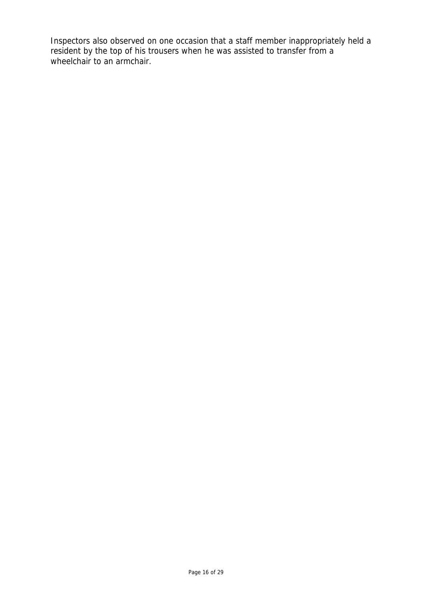Inspectors also observed on one occasion that a staff member inappropriately held a resident by the top of his trousers when he was assisted to transfer from a wheelchair to an armchair.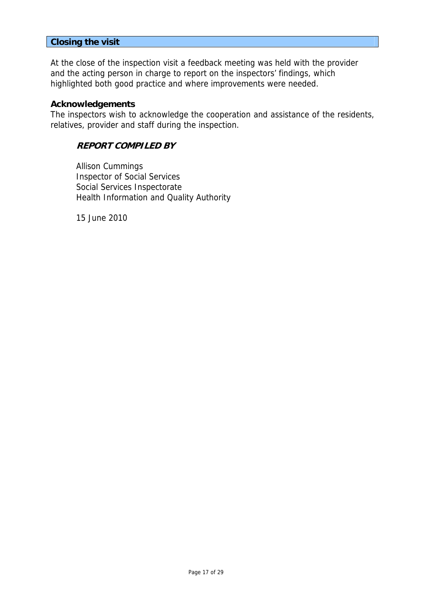# **Closing the visit**

At the close of the inspection visit a feedback meeting was held with the provider and the acting person in charge to report on the inspectors' findings, which highlighted both good practice and where improvements were needed.

#### **Acknowledgements**

The inspectors wish to acknowledge the cooperation and assistance of the residents, relatives, provider and staff during the inspection.

# **REPORT COMPILED BY**

Allison Cummings Inspector of Social Services Social Services Inspectorate Health Information and Quality Authority

15 June 2010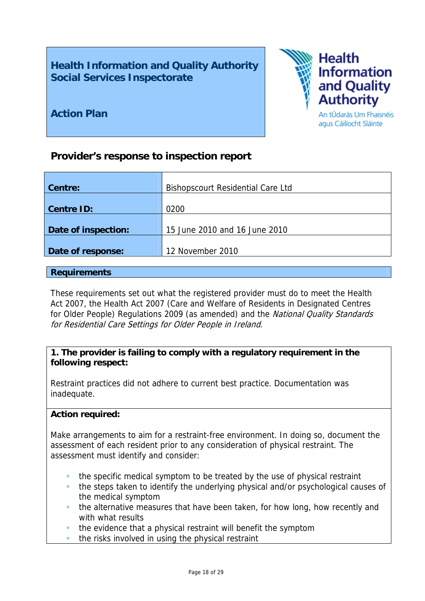**Health Information and Quality Authority Social Services Inspectorate** 



**Action Plan** 

# **Provider's response to inspection report**

| <b>Centre:</b>      | <b>Bishopscourt Residential Care Ltd</b> |
|---------------------|------------------------------------------|
|                     |                                          |
| <b>Centre ID:</b>   | 0200                                     |
|                     |                                          |
| Date of inspection: | 15 June 2010 and 16 June 2010            |
|                     |                                          |
| Date of response:   | 12 November 2010                         |
|                     |                                          |

### **Requirements**

These requirements set out what the registered provider must do to meet the Health Act 2007, the Health Act 2007 (Care and Welfare of Residents in Designated Centres for Older People) Regulations 2009 (as amended) and the National Quality Standards for Residential Care Settings for Older People in Ireland.

# **1. The provider is failing to comply with a regulatory requirement in the following respect:**

Restraint practices did not adhere to current best practice. Documentation was inadequate.

# **Action required:**

Make arrangements to aim for a restraint-free environment. In doing so, document the assessment of each resident prior to any consideration of physical restraint. The assessment must identify and consider:

- the specific medical symptom to be treated by the use of physical restraint
- the steps taken to identify the underlying physical and/or psychological causes of the medical symptom
- the alternative measures that have been taken, for how long, how recently and with what results
- the evidence that a physical restraint will benefit the symptom
- the risks involved in using the physical restraint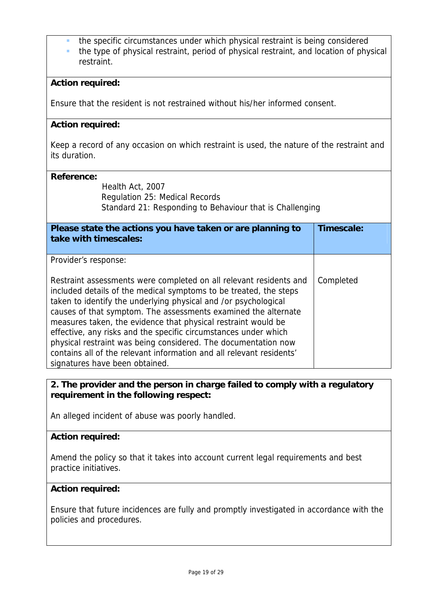- the specific circumstances under which physical restraint is being considered
- the type of physical restraint, period of physical restraint, and location of physical restraint.

# **Action required:**

Ensure that the resident is not restrained without his/her informed consent.

# **Action required:**

Keep a record of any occasion on which restraint is used, the nature of the restraint and its duration.

#### **Reference:**

Health Act, 2007 Regulation 25: Medical Records Standard 21: Responding to Behaviour that is Challenging

| Please state the actions you have taken or are planning to<br>take with timescales:                                                                                                                                                                                                                                                                                                                                                                                                                                                                                                          | Timescale: |
|----------------------------------------------------------------------------------------------------------------------------------------------------------------------------------------------------------------------------------------------------------------------------------------------------------------------------------------------------------------------------------------------------------------------------------------------------------------------------------------------------------------------------------------------------------------------------------------------|------------|
| Provider's response:                                                                                                                                                                                                                                                                                                                                                                                                                                                                                                                                                                         |            |
| Restraint assessments were completed on all relevant residents and<br>included details of the medical symptoms to be treated, the steps<br>taken to identify the underlying physical and /or psychological<br>causes of that symptom. The assessments examined the alternate<br>measures taken, the evidence that physical restraint would be<br>effective, any risks and the specific circumstances under which<br>physical restraint was being considered. The documentation now<br>contains all of the relevant information and all relevant residents'<br>signatures have been obtained. | Completed  |

# **2. The provider and the person in charge failed to comply with a regulatory requirement in the following respect:**

An alleged incident of abuse was poorly handled.

#### **Action required:**

Amend the policy so that it takes into account current legal requirements and best practice initiatives.

#### **Action required:**

Ensure that future incidences are fully and promptly investigated in accordance with the policies and procedures.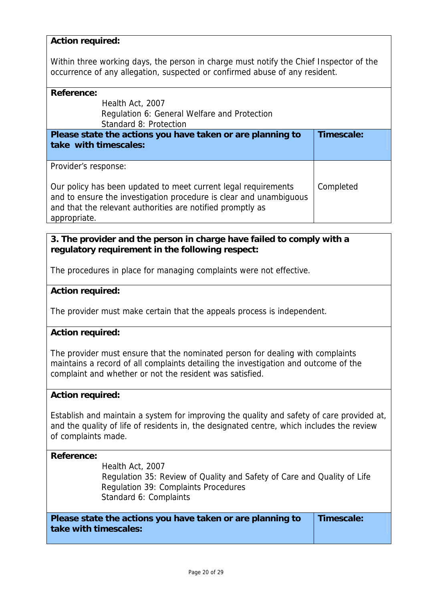# **Action required:**

Within three working days, the person in charge must notify the Chief Inspector of the occurrence of any allegation, suspected or confirmed abuse of any resident.

#### **Reference:**

| Reference:                                                                                                                                                                                         |            |  |
|----------------------------------------------------------------------------------------------------------------------------------------------------------------------------------------------------|------------|--|
| Health Act, 2007                                                                                                                                                                                   |            |  |
| Regulation 6: General Welfare and Protection                                                                                                                                                       |            |  |
| Standard 8: Protection                                                                                                                                                                             |            |  |
| Please state the actions you have taken or are planning to                                                                                                                                         | Timescale: |  |
| take with timescales:                                                                                                                                                                              |            |  |
|                                                                                                                                                                                                    |            |  |
| Provider's response:                                                                                                                                                                               |            |  |
| Our policy has been updated to meet current legal requirements<br>and to ensure the investigation procedure is clear and unambiquous<br>and that the relevant authorities are notified promptly as | Completed  |  |
| appropriate.                                                                                                                                                                                       |            |  |

# **3. The provider and the person in charge have failed to comply with a regulatory requirement in the following respect:**

The procedures in place for managing complaints were not effective.

#### **Action required:**

The provider must make certain that the appeals process is independent.

#### **Action required:**

The provider must ensure that the nominated person for dealing with complaints maintains a record of all complaints detailing the investigation and outcome of the complaint and whether or not the resident was satisfied.

#### **Action required:**

Establish and maintain a system for improving the quality and safety of care provided at, and the quality of life of residents in, the designated centre, which includes the review of complaints made.

#### **Reference:**

Health Act, 2007 Regulation 35: Review of Quality and Safety of Care and Quality of Life Regulation 39: Complaints Procedures Standard 6: Complaints

**Please state the actions you have taken or are planning to take with timescales:** 

**Timescale:**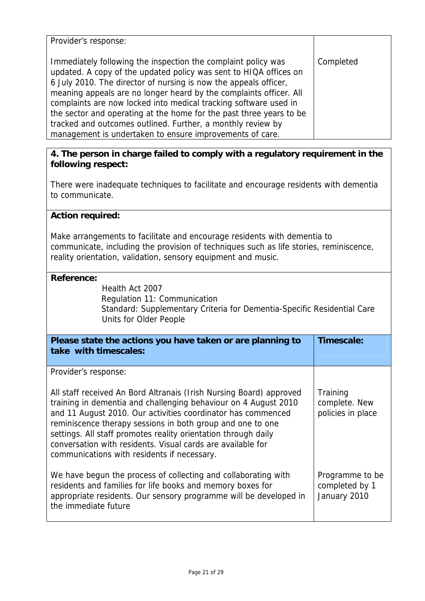| Provider's response:                                                                                                                                                                                                                                                                                                                                                                                                                                                                                                                               |           |
|----------------------------------------------------------------------------------------------------------------------------------------------------------------------------------------------------------------------------------------------------------------------------------------------------------------------------------------------------------------------------------------------------------------------------------------------------------------------------------------------------------------------------------------------------|-----------|
| Immediately following the inspection the complaint policy was<br>updated. A copy of the updated policy was sent to HIQA offices on<br>6 July 2010. The director of nursing is now the appeals officer,<br>meaning appeals are no longer heard by the complaints officer. All<br>complaints are now locked into medical tracking software used in<br>the sector and operating at the home for the past three years to be<br>tracked and outcomes outlined. Further, a monthly review by<br>management is undertaken to ensure improvements of care. | Completed |

# **4. The person in charge failed to comply with a regulatory requirement in the following respect:**

There were inadequate techniques to facilitate and encourage residents with dementia to communicate.

# **Action required:**

Make arrangements to facilitate and encourage residents with dementia to communicate, including the provision of techniques such as life stories, reminiscence, reality orientation, validation, sensory equipment and music.

#### **Reference:**

Health Act 2007 Regulation 11: Communication Standard: Supplementary Criteria for Dementia-Specific Residential Care Units for Older People

| Please state the actions you have taken or are planning to<br>take with timescales:                                                                                                                                                                                                                                                                                                                                                                                          | Timescale:                                        |
|------------------------------------------------------------------------------------------------------------------------------------------------------------------------------------------------------------------------------------------------------------------------------------------------------------------------------------------------------------------------------------------------------------------------------------------------------------------------------|---------------------------------------------------|
| Provider's response:<br>All staff received An Bord Altranais (Irish Nursing Board) approved<br>training in dementia and challenging behaviour on 4 August 2010<br>and 11 August 2010. Our activities coordinator has commenced<br>reminiscence therapy sessions in both group and one to one<br>settings. All staff promotes reality orientation through daily<br>conversation with residents. Visual cards are available for<br>communications with residents if necessary. | Training<br>complete. New<br>policies in place    |
| We have begun the process of collecting and collaborating with<br>residents and families for life books and memory boxes for<br>appropriate residents. Our sensory programme will be developed in<br>the immediate future                                                                                                                                                                                                                                                    | Programme to be<br>completed by 1<br>January 2010 |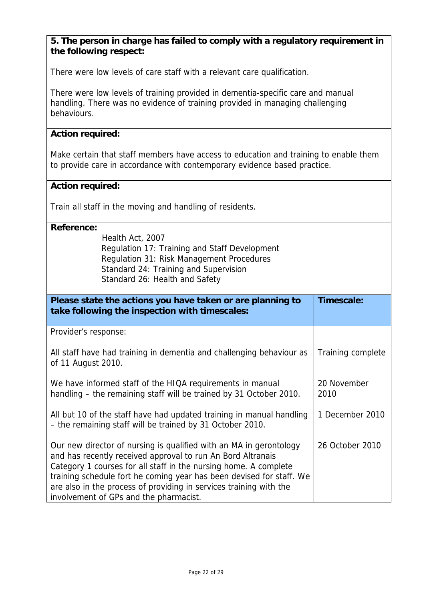# **5. The person in charge has failed to comply with a regulatory requirement in the following respect:**

There were low levels of care staff with a relevant care qualification.

There were low levels of training provided in dementia-specific care and manual handling. There was no evidence of training provided in managing challenging behaviours.

# **Action required:**

Make certain that staff members have access to education and training to enable them to provide care in accordance with contemporary evidence based practice.

### **Action required:**

Train all staff in the moving and handling of residents.

### **Reference:**

Health Act, 2007 Regulation 17: Training and Staff Development Regulation 31: Risk Management Procedures Standard 24: Training and Supervision Standard 26: Health and Safety

| Please state the actions you have taken or are planning to<br>take following the inspection with timescales:                                                                                                                                                                                                                                                                                  | Timescale:          |
|-----------------------------------------------------------------------------------------------------------------------------------------------------------------------------------------------------------------------------------------------------------------------------------------------------------------------------------------------------------------------------------------------|---------------------|
| Provider's response:                                                                                                                                                                                                                                                                                                                                                                          |                     |
| All staff have had training in dementia and challenging behaviour as<br>of 11 August 2010.                                                                                                                                                                                                                                                                                                    | Training complete   |
| We have informed staff of the HIQA requirements in manual<br>handling - the remaining staff will be trained by 31 October 2010.                                                                                                                                                                                                                                                               | 20 November<br>2010 |
| All but 10 of the staff have had updated training in manual handling<br>- the remaining staff will be trained by 31 October 2010.                                                                                                                                                                                                                                                             | 1 December 2010     |
| Our new director of nursing is qualified with an MA in gerontology<br>and has recently received approval to run An Bord Altranais<br>Category 1 courses for all staff in the nursing home. A complete<br>training schedule fort he coming year has been devised for staff. We<br>are also in the process of providing in services training with the<br>involvement of GPs and the pharmacist. | 26 October 2010     |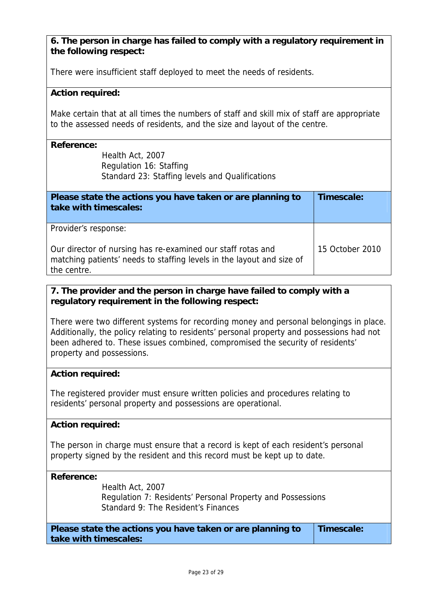# **6. The person in charge has failed to comply with a regulatory requirement in the following respect:**

There were insufficient staff deployed to meet the needs of residents.

# **Action required:**

Make certain that at all times the numbers of staff and skill mix of staff are appropriate to the assessed needs of residents, and the size and layout of the centre.

### **Reference:**

Health Act, 2007 Regulation 16: Staffing Standard 23: Staffing levels and Qualifications

| Please state the actions you have taken or are planning to<br>take with timescales:                                                                 | Timescale:      |
|-----------------------------------------------------------------------------------------------------------------------------------------------------|-----------------|
| Provider's response:                                                                                                                                |                 |
| Our director of nursing has re-examined our staff rotas and<br>matching patients' needs to staffing levels in the layout and size of<br>the centre. | 15 October 2010 |

# **7. The provider and the person in charge have failed to comply with a regulatory requirement in the following respect:**

There were two different systems for recording money and personal belongings in place. Additionally, the policy relating to residents' personal property and possessions had not been adhered to. These issues combined, compromised the security of residents' property and possessions.

# **Action required:**

The registered provider must ensure written policies and procedures relating to residents' personal property and possessions are operational.

# **Action required:**

The person in charge must ensure that a record is kept of each resident's personal property signed by the resident and this record must be kept up to date.

#### **Reference:**

Health Act, 2007 Regulation 7: Residents' Personal Property and Possessions Standard 9: The Resident's Finances

**Please state the actions you have taken or are planning to take with timescales: Timescale:**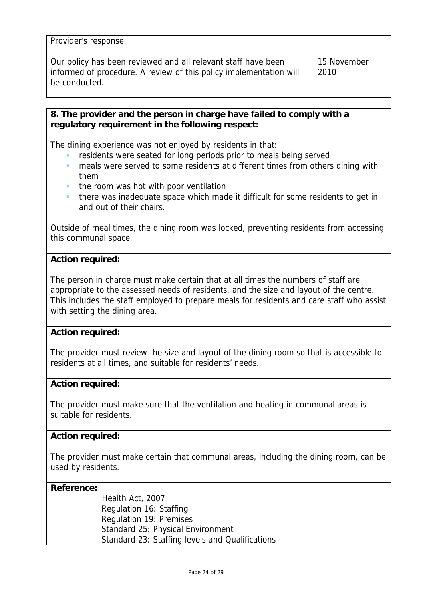| Provider's response:                                                                                                                                 |                     |
|------------------------------------------------------------------------------------------------------------------------------------------------------|---------------------|
| Our policy has been reviewed and all relevant staff have been<br>informed of procedure. A review of this policy implementation will<br>be conducted. | 15 November<br>2010 |

# **8. The provider and the person in charge have failed to comply with a regulatory requirement in the following respect:**

The dining experience was not enjoyed by residents in that:

- residents were seated for long periods prior to meals being served
- meals were served to some residents at different times from others dining with them
- the room was hot with poor ventilation
- there was inadequate space which made it difficult for some residents to get in and out of their chairs.

Outside of meal times, the dining room was locked, preventing residents from accessing this communal space.

# **Action required:**

The person in charge must make certain that at all times the numbers of staff are appropriate to the assessed needs of residents, and the size and layout of the centre. This includes the staff employed to prepare meals for residents and care staff who assist with setting the dining area.

# **Action required:**

The provider must review the size and layout of the dining room so that is accessible to residents at all times, and suitable for residents' needs.

# **Action required:**

The provider must make sure that the ventilation and heating in communal areas is suitable for residents.

# **Action required:**

The provider must make certain that communal areas, including the dining room, can be used by residents.

# **Reference:**

| Health Act, 2007                                |
|-------------------------------------------------|
| Regulation 16: Staffing                         |
| Regulation 19: Premises                         |
| Standard 25: Physical Environment               |
| Standard 23: Staffing levels and Qualifications |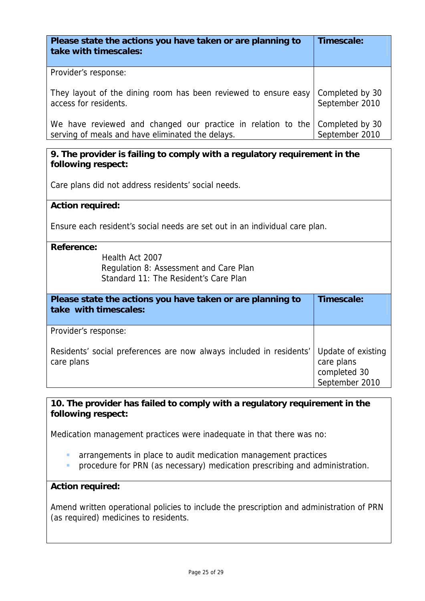| Please state the actions you have taken or are planning to<br>take with timescales: | Timescale:      |
|-------------------------------------------------------------------------------------|-----------------|
| Provider's response:                                                                |                 |
| They layout of the dining room has been reviewed to ensure easy                     | Completed by 30 |
| access for residents.                                                               | September 2010  |
| We have reviewed and changed our practice in relation to the                        | Completed by 30 |
| serving of meals and have eliminated the delays.                                    | September 2010  |

**9. The provider is failing to comply with a regulatory requirement in the following respect:** 

Care plans did not address residents' social needs.

# **Action required:**

Ensure each resident's social needs are set out in an individual care plan.

#### **Reference:**

Health Act 2007 Regulation 8: Assessment and Care Plan Standard 11: The Resident's Care Plan

| Please state the actions you have taken or are planning to<br>take with timescales: | Timescale:                                                         |
|-------------------------------------------------------------------------------------|--------------------------------------------------------------------|
| Provider's response:                                                                |                                                                    |
| Residents' social preferences are now always included in residents'<br>care plans   | Update of existing<br>care plans<br>completed 30<br>September 2010 |

# **10. The provider has failed to comply with a regulatory requirement in the following respect:**

Medication management practices were inadequate in that there was no:

- arrangements in place to audit medication management practices
- **PEDFING ASSET FORM** (as necessary) medication prescribing and administration.

# **Action required:**

Amend written operational policies to include the prescription and administration of PRN (as required) medicines to residents.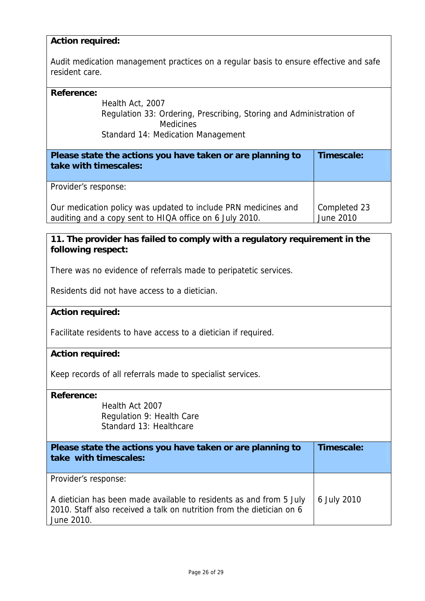## **Action required:**

Audit medication management practices on a regular basis to ensure effective and safe resident care.

#### **Reference:**

Health Act, 2007 Regulation 33: Ordering, Prescribing, Storing and Administration of **Medicines** Standard 14: Medication Management

| Please state the actions you have taken or are planning to<br>take with timescales:                                       | Timescale:                |
|---------------------------------------------------------------------------------------------------------------------------|---------------------------|
| Provider's response:                                                                                                      |                           |
| Our medication policy was updated to include PRN medicines and<br>auditing and a copy sent to HIQA office on 6 July 2010. | Completed 23<br>June 2010 |

# **11. The provider has failed to comply with a regulatory requirement in the following respect:**

There was no evidence of referrals made to peripatetic services.

Residents did not have access to a dietician.

#### **Action required:**

Facilitate residents to have access to a dietician if required.

### **Action required:**

Keep records of all referrals made to specialist services.

#### **Reference:**

Health Act 2007 Regulation 9: Health Care Standard 13: Healthcare

| Please state the actions you have taken or are planning to<br>take with timescales:                                                                        | Timescale:  |
|------------------------------------------------------------------------------------------------------------------------------------------------------------|-------------|
| Provider's response:                                                                                                                                       |             |
| A dietician has been made available to residents as and from 5 July<br>2010. Staff also received a talk on nutrition from the dietician on 6<br>June 2010. | 6 July 2010 |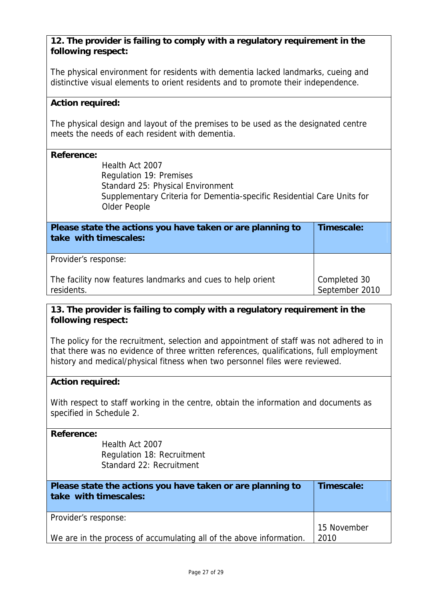# **12. The provider is failing to comply with a regulatory requirement in the following respect:**

The physical environment for residents with dementia lacked landmarks, cueing and distinctive visual elements to orient residents and to promote their independence.

# **Action required:**

The physical design and layout of the premises to be used as the designated centre meets the needs of each resident with dementia.

### **Reference:**

Health Act 2007 Regulation 19: Premises Standard 25: Physical Environment Supplementary Criteria for Dementia-specific Residential Care Units for Older People

| Please state the actions you have taken or are planning to<br>take with timescales: | Timescale:                     |
|-------------------------------------------------------------------------------------|--------------------------------|
| Provider's response:                                                                |                                |
| The facility now features landmarks and cues to help orient<br>residents.           | Completed 30<br>September 2010 |

# **13. The provider is failing to comply with a regulatory requirement in the following respect:**

The policy for the recruitment, selection and appointment of staff was not adhered to in that there was no evidence of three written references, qualifications, full employment history and medical/physical fitness when two personnel files were reviewed.

# **Action required:**

With respect to staff working in the centre, obtain the information and documents as specified in Schedule 2.

# **Reference:**

Health Act 2007 Regulation 18: Recruitment Standard 22: Recruitment

| Please state the actions you have taken or are planning to<br>take with timescales: | Timescale:  |
|-------------------------------------------------------------------------------------|-------------|
| Provider's response:                                                                |             |
|                                                                                     | 15 November |
| We are in the process of accumulating all of the above information.                 | 2010        |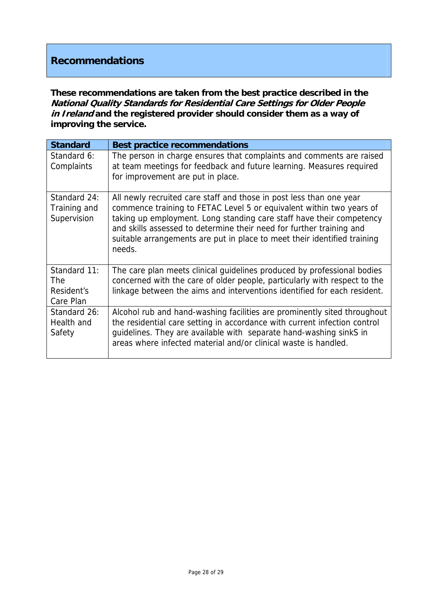# **Recommendations**

**These recommendations are taken from the best practice described in the National Quality Standards for Residential Care Settings for Older People in Ireland and the registered provider should consider them as a way of improving the service.**

| <b>Standard</b>                                       | <b>Best practice recommendations</b>                                                                                                                                                                                                                                                                                                                                              |
|-------------------------------------------------------|-----------------------------------------------------------------------------------------------------------------------------------------------------------------------------------------------------------------------------------------------------------------------------------------------------------------------------------------------------------------------------------|
| Standard 6:<br>Complaints                             | The person in charge ensures that complaints and comments are raised<br>at team meetings for feedback and future learning. Measures required<br>for improvement are put in place.                                                                                                                                                                                                 |
| Standard 24:<br>Training and<br>Supervision           | All newly recruited care staff and those in post less than one year<br>commence training to FETAC Level 5 or equivalent within two years of<br>taking up employment. Long standing care staff have their competency<br>and skills assessed to determine their need for further training and<br>suitable arrangements are put in place to meet their identified training<br>needs. |
| Standard 11:<br><b>The</b><br>Resident's<br>Care Plan | The care plan meets clinical guidelines produced by professional bodies<br>concerned with the care of older people, particularly with respect to the<br>linkage between the aims and interventions identified for each resident.                                                                                                                                                  |
| Standard 26:<br>Health and<br>Safety                  | Alcohol rub and hand-washing facilities are prominently sited throughout<br>the residential care setting in accordance with current infection control<br>guidelines. They are available with separate hand-washing sinkS in<br>areas where infected material and/or clinical waste is handled.                                                                                    |